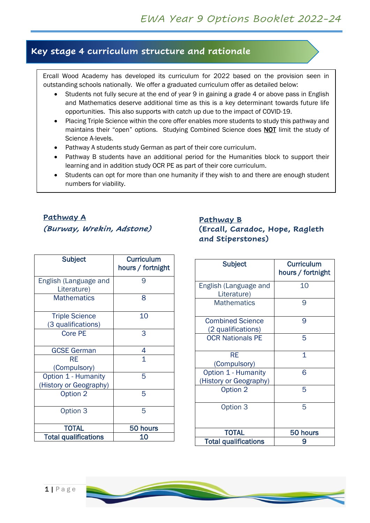# **Key stage 4 curriculum structure and rationale**

Ercall Wood Academy has developed its curriculum for 2022 based on the provision seen in outstanding schools nationally. We offer a graduated curriculum offer as detailed below:

- Students not fully secure at the end of year 9 in gaining a grade 4 or above pass in English and Mathematics deserve additional time as this is a key determinant towards future life opportunities. This also supports with catch up due to the impact of COVID-19.
- Placing Triple Science within the core offer enables more students to study this pathway and maintains their "open" options. Studying Combined Science does **NOT** limit the study of Science A-levels.
- Pathway A students study German as part of their core curriculum.
- Pathway B students have an additional period for the Humanities block to support their learning and in addition study OCR PE as part of their core curriculum.
- Students can opt for more than one humanity if they wish to and there are enough student numbers for viability.

# **Pathway A (Burway, Wrekin, Adstone)**

#### **Pathway B (Ercall, Caradoc, Hope, Ragleth and Stiperstones)**

| Subject                                       | <b>Curriculum</b><br>hours / fortnight |
|-----------------------------------------------|----------------------------------------|
| English (Language and<br>Literature)          | 9                                      |
| <b>Mathematics</b>                            | 8                                      |
| <b>Triple Science</b><br>(3 qualifications)   | 10                                     |
| <b>Core PE</b>                                | 3                                      |
| <b>GCSE German</b>                            | 4                                      |
| RE<br>(Compulsory)                            | 1                                      |
| Option 1 - Humanity<br>(History or Geography) | 5                                      |
| Option 2                                      | 5                                      |
| Option 3                                      | 5                                      |
| <b>TOTAL</b>                                  | 50 hours                               |
| <b>Total qualifications</b>                   | 10                                     |

| <b>Subject</b>                                | <b>Curriculum</b><br>hours / fortnight |
|-----------------------------------------------|----------------------------------------|
| English (Language and<br>Literature)          | 10                                     |
| <b>Mathematics</b>                            | 9                                      |
| <b>Combined Science</b><br>(2 qualifications) | 9                                      |
| <b>OCR Nationals PE</b>                       | 5                                      |
| <b>RE</b><br>(Compulsory)                     | 1                                      |
| Option 1 - Humanity<br>(History or Geography) | 6                                      |
| Option 2                                      | 5                                      |
| Option 3                                      | 5                                      |
| <b>TOTAL</b>                                  | 50 hours                               |
| <b>Total qualifications</b>                   |                                        |

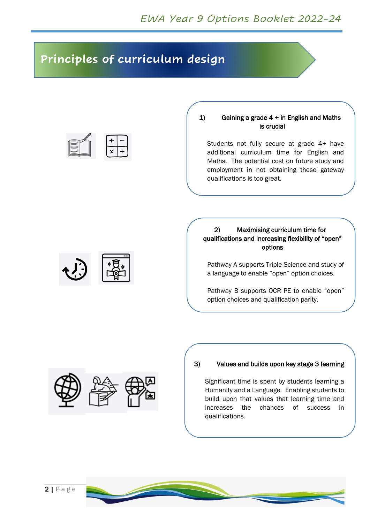# **Principles of curriculum design**



#### 1) Gaining a grade  $4 +$  in English and Maths is crucial

Students not fully secure at grade 4+ have additional curriculum time for English and Maths. The potential cost on future study and employment in not obtaining these gateway qualifications is too great.

#### 2) Maximising curriculum time for qualifications and increasing flexibility of "open" options

Pathway A supports Triple Science and study of a language to enable "open" option choices.

Pathway B supports OCR PE to enable "open" option choices and qualification parity.



#### 3) Values and builds upon key stage 3 learning

Significant time is spent by students learning a Humanity and a Language. Enabling students to build upon that values that learning time and increases the chances of success in qualifications.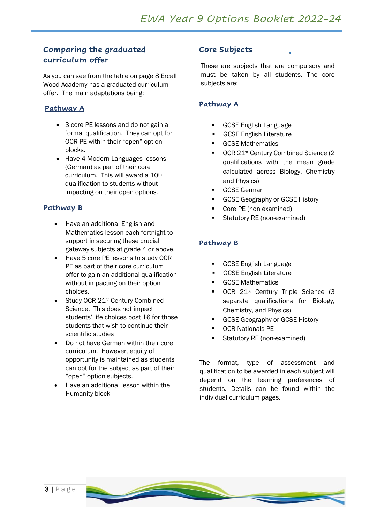### **Comparing the graduated curriculum offer**

As you can see from the table on page 8 Ercall Wood Academy has a graduated curriculum offer. The main adaptations being:

#### **Pathway A**

- 3 core PE lessons and do not gain a formal qualification. They can opt for OCR PE within their "open" option blocks.
- Have 4 Modern Languages lessons (German) as part of their core curriculum. This will award a 10th qualification to students without impacting on their open options.

#### **Pathway B**

- Have an additional English and Mathematics lesson each fortnight to support in securing these crucial gateway subjects at grade 4 or above.
- Have 5 core PE lessons to study OCR PE as part of their core curriculum offer to gain an additional qualification without impacting on their option choices.
- Study OCR 21<sup>st</sup> Century Combined Science. This does not impact students' life choices post 16 for those students that wish to continue their scientific studies
- Do not have German within their core curriculum. However, equity of opportunity is maintained as students can opt for the subject as part of their "open" option subjects.
- Have an additional lesson within the Humanity block

#### **Core Subjects**

These are subjects that are compulsory and must be taken by all students. The core subjects are:

#### **Pathway A**

- **GCSE English Language**
- **GCSE English Literature**
- **GCSE Mathematics**
- OCR 21st Century Combined Science (2 qualifications with the mean grade calculated across Biology, Chemistry and Physics)
- **GCSE German**
- GCSE Geography or GCSE History
- Core PE (non examined)
- Statutory RE (non-examined)

#### **Pathway B**

- **GCSE English Language**
- **GCSE English Literature**
- **GCSE Mathematics**
- OCR 21st Century Triple Science (3 separate qualifications for Biology, Chemistry, and Physics)
- GCSE Geography or GCSE History
- **OCR Nationals PE**
- Statutory RE (non-examined)

The format, type of assessment and qualification to be awarded in each subject will depend on the learning preferences of students. Details can be found within the individual curriculum pages.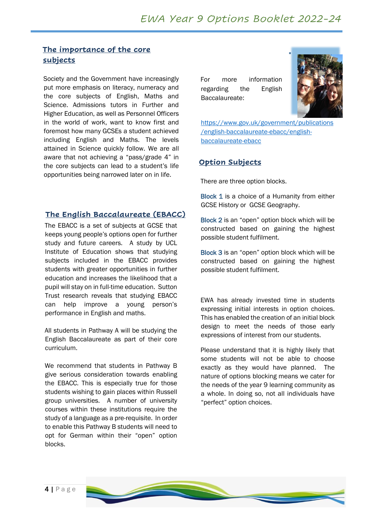#### **The importance of the core subjects**

Society and the Government have increasingly put more emphasis on literacy, numeracy and the core subjects of English, Maths and Science. Admissions tutors in Further and Higher Education, as well as Personnel Officers in the world of work, want to know first and foremost how many GCSEs a student achieved including English and Maths. The levels attained in Science quickly follow. We are all aware that not achieving a "pass/grade 4" in the core subjects can lead to a student's life opportunities being narrowed later on in life.

#### **The English Baccalaureate (EBACC)**

The EBACC is a set of subjects at GCSE that keeps young people's options open for further study and future careers. A study by UCL Institute of Education shows that studying subjects included in the EBACC provides students with greater opportunities in further education and increases the likelihood that a pupil will stay on in full-time education. Sutton Trust research reveals that studying EBACC can help improve a young person's performance in English and maths.

All students in Pathway A will be studying the English Baccalaureate as part of their core curriculum.

We recommend that students in Pathway B give serious consideration towards enabling the EBACC. This is especially true for those students wishing to gain places within Russell group universities. A number of university courses within these institutions require the study of a language as a pre-requisite. In order to enable this Pathway B students will need to opt for German within their "open" option blocks.

For more information regarding the English Baccalaureate:



[https://www.gov.uk/government/publications](https://www.gov.uk/government/publications/english-baccalaureate-ebacc/english-baccalaureate-ebacc) [/english-baccalaureate-ebacc/english](https://www.gov.uk/government/publications/english-baccalaureate-ebacc/english-baccalaureate-ebacc)[baccalaureate-ebacc](https://www.gov.uk/government/publications/english-baccalaureate-ebacc/english-baccalaureate-ebacc)

#### **Option Subjects**

There are three option blocks.

Block 1 is a choice of a Humanity from either GCSE History or GCSE Geography.

Block 2 is an "open" option block which will be constructed based on gaining the highest possible student fulfilment.

Block 3 is an "open" option block which will be constructed based on gaining the highest possible student fulfilment.

EWA has already invested time in students expressing initial interests in option choices. This has enabled the creation of an initial block design to meet the needs of those early expressions of interest from our students.

Please understand that it is highly likely that some students will not be able to choose exactly as they would have planned. The nature of options blocking means we cater for the needs of the year 9 learning community as a whole. In doing so, not all individuals have "perfect" option choices.